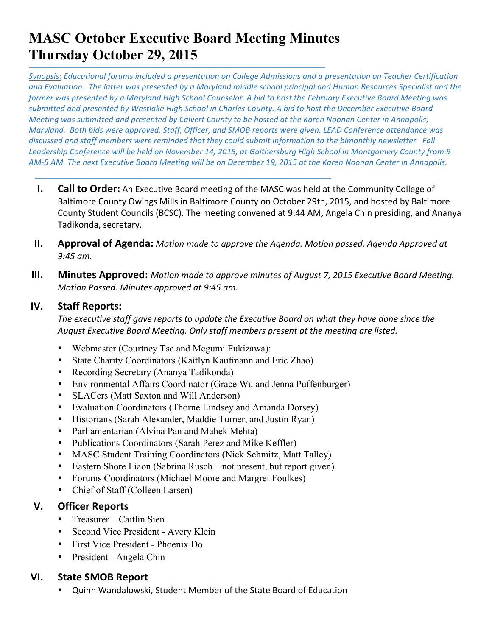# **MASC October Executive Board Meeting Minutes Thursday October 29, 2015**

Synopsis: Educational forums included a presentation on College Admissions and a presentation on Teacher Certification and Evaluation. The latter was presented by a Maryland middle school principal and Human Resources Specialist and the *former)was)presented)by)a)Maryland)High)School)Counselor.)A)bid to)host)the)February)Executive)Board)Meeting was) submitted)and)presented)by)Westlake)High)School)in)Charles)County. A)bid to)host)the)December)Executive)Board) Meeting was submitted and presented by Calvert County to be hosted at the Karen Noonan Center in Annapolis, Maryland.* Both bids were approved. Staff, Officer, and SMOB reports were given. LEAD Conference attendance was *discussed and staff members were reminded that they could submit information to the bimonthly newsletter. Fall* Leadership Conference will be held on November 14, 2015, at Gaithersburg High School in Montgomery County from 9 AM-5 AM. The next Executive Board Meeting will be on December 19, 2015 at the Karen Noonan Center in Annapolis.

- **I. Call to Order:** An Executive Board meeting of the MASC was held at the Community College of Baltimore County Owings Mills in Baltimore County on October 29th, 2015, and hosted by Baltimore County Student Councils (BCSC). The meeting convened at 9:44 AM, Angela Chin presiding, and Ananya Tadikonda, secretary.
- **II. Approval of Agenda:** *Motion made to approve the Agenda. Motion passed. Agenda Approved at 9:45 am.*
- **III. Minutes Approved:** Motion made to approve minutes of August 7, 2015 Executive Board Meeting. *Motion Passed. Minutes approved at 9:45 am.*

## **IV. Staff&Reports:**

The executive staff gave reports to update the Executive Board on what they have done since the August Executive Board Meeting. Only staff members present at the meeting are listed.

- Webmaster (Courtney Tse and Megumi Fukizawa):
- State Charity Coordinators (Kaitlyn Kaufmann and Eric Zhao)
- Recording Secretary (Ananya Tadikonda)
- Environmental Affairs Coordinator (Grace Wu and Jenna Puffenburger)
- SLACers (Matt Saxton and Will Anderson)
- Evaluation Coordinators (Thorne Lindsey and Amanda Dorsey)
- Historians (Sarah Alexander, Maddie Turner, and Justin Ryan)
- Parliamentarian (Alvina Pan and Mahek Mehta)
- Publications Coordinators (Sarah Perez and Mike Keffler)
- MASC Student Training Coordinators (Nick Schmitz, Matt Talley)
- Eastern Shore Liaon (Sabrina Rusch not present, but report given)
- Forums Coordinators (Michael Moore and Margret Foulkes)
- Chief of Staff (Colleen Larsen)

# **V. Officer Reports**

- Treasurer Caitlin Sien
- Second Vice President Avery Klein
- First Vice President Phoenix Do
- President Angela Chin

# **VI.** State SMOB Report

• Quinn Wandalowski, Student Member of the State Board of Education